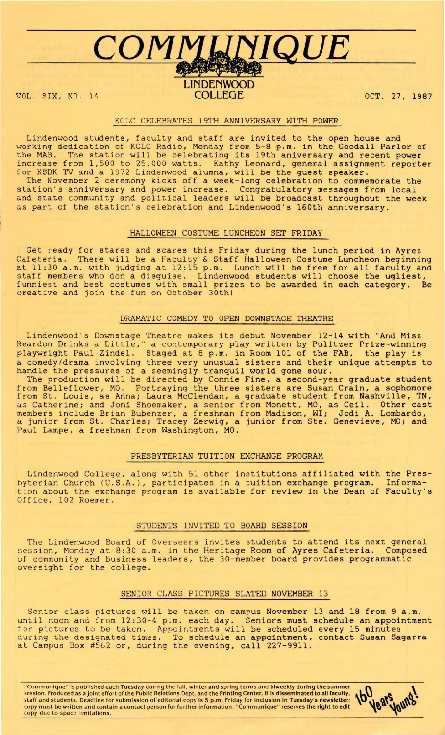# $COMM$ *LINIQUE*

## LINDENWOOD<br>COLLEGE VOL. SIX, NO. 14 **COLLEGE OCT. 27, 1987**

### KCLC CELEBRATES 19TH ANNIVERSARY WITH POWER

Lindenwood students, faculty and staff are invited to the open house and working dedication of KCLC Radio, Monday from 5-8 p.m. in the Goodall Parlor of the MAB. The station will be celebrating its 19th aniversary and recent power increase from 1,500 to 25,000 watts. Kathy Leonard, general assignment reporter for KSDK-TV and a 1972 Lindenwood alumna, will be the guest speaker. The November 2 ceremony kicks off a week-long celebration to commemorate the station's anniversary and power increase. Congratulatory messages from local and state community and political leaders will be broadcast throughout the week as part of the station's celebration and Lindenwood's 160th anniversary.

#### HALLOWEEN COSTUME LUNCHEON SET FRIDAY

Get ready for stares and scares this Friday during the lunch period in Ayres Cafeteria. There will be a Faculty & Staff Halloween Costume Luncheon beginning at 11:30 a.m. with judging at 12:15 p.m. Lunch will be free for all faculty and staff members who don a disguise. Lindenwood students will choose the ugliest, funniest and best costumes with small prizes to be awarded in each category. Be creative and join the fun on October 30th!

#### DRAMATIC COMEDY TO OPEN DOWNSTAGE THEATRE

Lindenwood's Downstage Theatre makes its debut November 12-14 with "And Miss Reardon Drinks a Little," a contemporary play written by Pulitzer Prize-winning playwright Paul Zindel. Staged at 8 p.m. in Room 101 of the FAB, the play is a comedy/drama involving three very unusual sisters and their unique attempts to handle the pressures of a seemingly tranquil world gone sour.

The production will be directed by Connie Fine, a second-year graduate student from Belleflower, MO. Portraying the three sisters are Susan Crain, a sophomore from St. Louis, as Anna; Laura McClendan, a graduate student from Nashville, TN, as Catherine; and Joni Shoemaker, a senior from Monett, MO, as Ceil. Other cast members include Brian Bubenzer, a freshman from Madison, WI; Jodi A. Lombardo, a junior from St. Charles; Tracey Zerwig, a junior from Ste. Genevieve, MO; and Paul Lampe, a freshman from Washington, MO.

### PRESBYTERIAN TUITION EXCHANGE PROGRAM

Lindenwood College, along with 51 other institutions affiliated with the Preshyterian Church (U.S.A.), participates in a tuition exchange program. Information about the exchange program is available for review in the Dean of Faculty's Office, 102 Roemer.

#### STUDENTS INVITED TO BOARD SESSION

The Lindenwood Board of Overseers invites students to attend its next general session, Monday at 8:30 a.m. in the Heritage Room of Ayres Cafeteria. Composed uf community and business leaders, the 30-member board provides programmatic oversight for the college.

#### SENIOR CLASS PICTURES SLATED NOVEMBER 13

Senior class pictures will be taken on campus November 13 and 18 from 9 a.m. until noon and from 12:30-4 p.m. each day. Seniors must schedule an appointment for pictures to be taken. Appointments will be scheduled every 15 minutes during the designated times. To schedule an appointment, contact Susan Sagarra at Campus Box #562 or, during the evening, call 227-9911.

"Communique" is published each Tuesday during the fall, winter and spring terms and biweekly during the summer session. Produced as a joint effort of the Public Relations Dept. and the Printing Center, it Is disseminated to all faculty, staff and students. Deadline for submission of editorial copy is 5 p.m. Friday for Inclusion In Tuesday 's newsletter: copy must be written and contain a contact person for further information . " Communique" reserves the right to edit copy due to space limitations.

160 Years young!